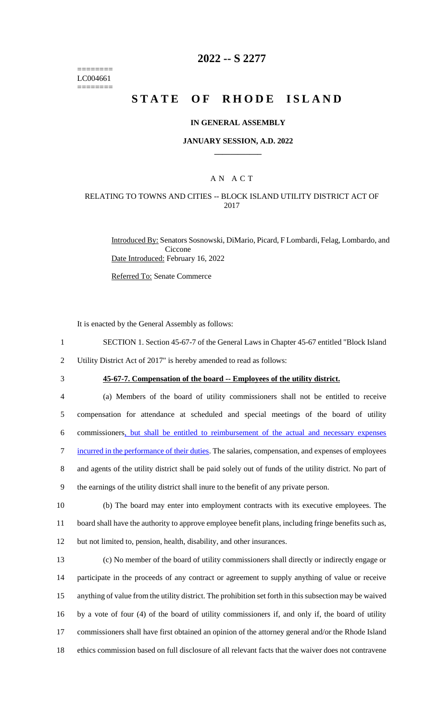======== LC004661 ========

## **2022 -- S 2277**

# **STATE OF RHODE ISLAND**

### **IN GENERAL ASSEMBLY**

#### **JANUARY SESSION, A.D. 2022 \_\_\_\_\_\_\_\_\_\_\_\_**

## A N A C T

### RELATING TO TOWNS AND CITIES -- BLOCK ISLAND UTILITY DISTRICT ACT OF 2017

Introduced By: Senators Sosnowski, DiMario, Picard, F Lombardi, Felag, Lombardo, and Ciccone Date Introduced: February 16, 2022

Referred To: Senate Commerce

It is enacted by the General Assembly as follows:

- 1 SECTION 1. Section 45-67-7 of the General Laws in Chapter 45-67 entitled "Block Island
- 2 Utility District Act of 2017" is hereby amended to read as follows:
- 

# 3 **45-67-7. Compensation of the board -- Employees of the utility district.**

 (a) Members of the board of utility commissioners shall not be entitled to receive compensation for attendance at scheduled and special meetings of the board of utility commissioners, but shall be entitled to reimbursement of the actual and necessary expenses 7 incurred in the performance of their duties. The salaries, compensation, and expenses of employees and agents of the utility district shall be paid solely out of funds of the utility district. No part of the earnings of the utility district shall inure to the benefit of any private person.

10 (b) The board may enter into employment contracts with its executive employees. The 11 board shall have the authority to approve employee benefit plans, including fringe benefits such as, 12 but not limited to, pension, health, disability, and other insurances.

 (c) No member of the board of utility commissioners shall directly or indirectly engage or participate in the proceeds of any contract or agreement to supply anything of value or receive anything of value from the utility district. The prohibition set forth in this subsection may be waived by a vote of four (4) of the board of utility commissioners if, and only if, the board of utility commissioners shall have first obtained an opinion of the attorney general and/or the Rhode Island ethics commission based on full disclosure of all relevant facts that the waiver does not contravene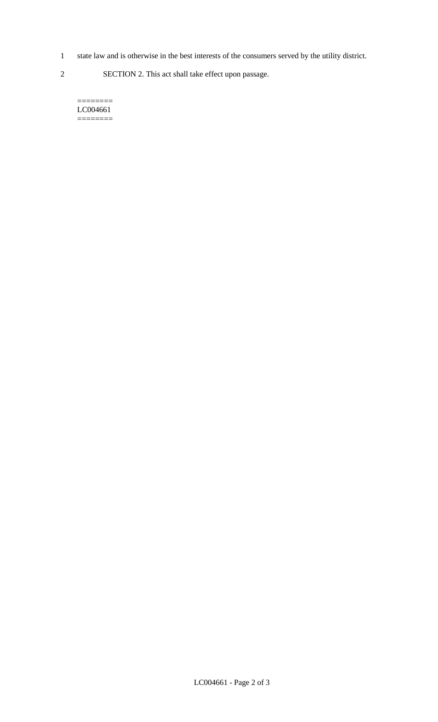- 1 state law and is otherwise in the best interests of the consumers served by the utility district.
- 2 SECTION 2. This act shall take effect upon passage.

======== LC004661  $=$